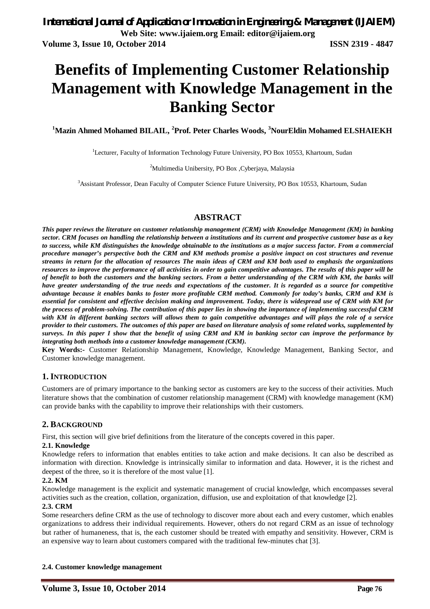# **Benefits of Implementing Customer Relationship Management with Knowledge Management in the Banking Sector**

**<sup>1</sup>Mazin Ahmed Mohamed BILAIL, <sup>2</sup>Prof. Peter Charles Woods, <sup>3</sup>NourEldin Mohamed ELSHAIEKH**

<sup>1</sup>Lecturer, Faculty of Information Technology Future University, PO Box 10553, Khartoum, Sudan

<sup>2</sup>Multimedia Unibersity, PO Box ,Cyberjaya, Malaysia

<sup>3</sup>Assistant Professor, Dean Faculty of Computer Science Future University, PO Box 10553, Khartoum, Sudan

#### **ABSTRACT**

*This paper reviews the literature on customer relationship management (CRM) with Knowledge Management (KM) in banking sector. CRM focuses on handling the relationship between a institutions and its current and prospective customer base as a key to success, while KM distinguishes the knowledge obtainable to the institutions as a major success factor. From a commercial procedure manager's perspective both the CRM and KM methods promise a positive impact on cost structures and revenue streams in return for the allocation of resources The main ideas of CRM and KM both used to emphasis the organizations resources to improve the performance of all activities in order to gain competitive advantages. The results of this paper will be of benefit to both the customers and the banking sectors. From a better understanding of the CRM with KM, the banks will have greater understanding of the true needs and expectations of the customer. It is regarded as a source for competitive advantage because it enables banks to foster more profitable CRM method. Commonly for today's banks, CRM and KM is essential for consistent and effective decision making and improvement. Today, there is widespread use of CRM with KM for the process of problem-solving. The contribution of this paper lies in showing the importance of implementing successful CRM with KM in different banking sectors will allows them to gain competitive advantages and will plays the role of a service provider to their customers. The outcomes of this paper are based on literature analysis of some related works, supplemented by surveys. In this paper I show that the benefit of using CRM and KM in banking sector can improve the performance by integrating both methods into a customer knowledge management (CKM).*

**Key Words:-** Customer Relationship Management, Knowledge, Knowledge Management, Banking Sector, and Customer knowledge management.

#### **1. INTRODUCTION**

Customers are of primary importance to the banking sector as customers are key to the success of their activities. Much literature shows that the combination of customer relationship management (CRM) with knowledge management (KM) can provide banks with the capability to improve their relationships with their customers.

#### **2. BACKGROUND**

First, this section will give brief definitions from the literature of the concepts covered in this paper.

#### **2.1. Knowledge**

Knowledge refers to information that enables entities to take action and make decisions. It can also be described as information with direction. Knowledge is intrinsically similar to information and data. However, it is the richest and deepest of the three, so it is therefore of the most value [1].

#### **2.2. KM**

Knowledge management is the explicit and systematic management of crucial knowledge, which encompasses several activities such as the creation, collation, organization, diffusion, use and exploitation of that knowledge [2].

#### **2.3. CRM**

Some researchers define CRM as the use of technology to discover more about each and every customer, which enables organizations to address their individual requirements. However, others do not regard CRM as an issue of technology but rather of humaneness, that is, the each customer should be treated with empathy and sensitivity. However, CRM is an expensive way to learn about customers compared with the traditional few-minutes chat [3].

#### **2.4. Customer knowledge management**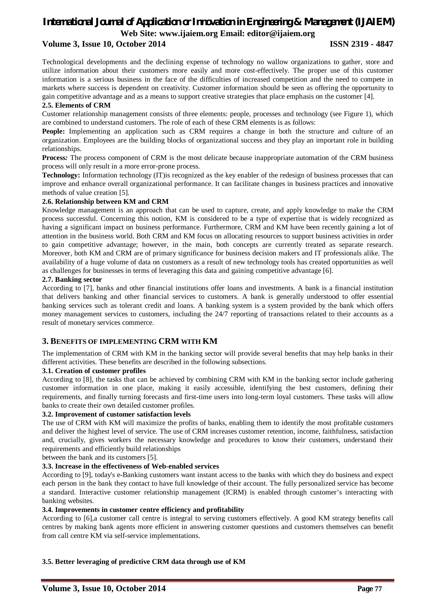## *International Journal of Application or Innovation in Engineering & Management (IJAIEM)* **Web Site: www.ijaiem.org Email: editor@ijaiem.org**

#### **Volume 3, Issue 10, October 2014 ISSN 2319 - 4847**

Technological developments and the declining expense of technology no wallow organizations to gather, store and utilize information about their customers more easily and more cost-effectively. The proper use of this customer information is a serious business in the face of the difficulties of increased competition and the need to compete in markets where success is dependent on creativity. Customer information should be seen as offering the opportunity to gain competitive advantage and as a means to support creative strategies that place emphasis on the customer [4].

#### **2.5. Elements of CRM**

Customer relationship management consists of three elements: people, processes and technology (see Figure 1), which are combined to understand customers. The role of each of these CRM elements is as follows:

**People:** Implementing an application such as CRM requires a change in both the structure and culture of an organization. Employees are the building blocks of organizational success and they play an important role in building relationships.

**Process***:* The process component of CRM is the most delicate because inappropriate automation of the CRM business process will only result in a more error-prone process.

**Technology:** Information technology (IT)is recognized as the key enabler of the redesign of business processes that can improve and enhance overall organizational performance. It can facilitate changes in business practices and innovative methods of value creation [5].

#### **2.6. Relationship between KM and CRM**

Knowledge management is an approach that can be used to capture, create, and apply knowledge to make the CRM process successful. Concerning this notion, KM is considered to be a type of expertise that is widely recognized as having a significant impact on business performance. Furthermore, CRM and KM have been recently gaining a lot of attention in the business world. Both CRM and KM focus on allocating resources to support business activities in order to gain competitive advantage; however, in the main, both concepts are currently treated as separate research. Moreover, both KM and CRM are of primary significance for business decision makers and IT professionals alike. The availability of a huge volume of data on customers as a result of new technology tools has created opportunities as well as challenges for businesses in terms of leveraging this data and gaining competitive advantage [6].

#### **2.7. Banking sector**

According to [7], banks and other financial institutions offer loans and investments. A bank is a financial institution that delivers banking and other financial services to customers. A bank is generally understood to offer essential banking services such as tolerant credit and loans. A banking system is a system provided by the bank which offers money management services to customers, including the 24/7 reporting of transactions related to their accounts as a result of monetary services commerce.

#### **3. BENEFITS OF IMPLEMENTING CRM WITH KM**

The implementation of CRM with KM in the banking sector will provide several benefits that may help banks in their different activities. These benefits are described in the following subsections.

#### **3.1. Creation of customer profiles**

According to [8], the tasks that can be achieved by combining CRM with KM in the banking sector include gathering customer information in one place, making it easily accessible, identifying the best customers, defining their requirements, and finally turning forecasts and first-time users into long-term loyal customers. These tasks will allow banks to create their own detailed customer profiles.

#### **3.2. Improvement of customer satisfaction levels**

The use of CRM with KM will maximize the profits of banks, enabling them to identify the most profitable customers and deliver the highest level of service. The use of CRM increases customer retention, income, faithfulness, satisfaction and, crucially, gives workers the necessary knowledge and procedures to know their customers, understand their requirements and efficiently build relationships

between the bank and its customers [5].

#### **3.3. Increase in the effectiveness of Web-enabled services**

According to [9], today's e-Banking customers want instant access to the banks with which they do business and expect each person in the bank they contact to have full knowledge of their account. The fully personalized service has become a standard. Interactive customer relationship management (ICRM) is enabled through customer's interacting with banking websites.

#### **3.4. Improvements in customer centre efficiency and profitability**

According to [6],a customer call centre is integral to serving customers effectively. A good KM strategy benefits call centres by making bank agents more efficient in answering customer questions and customers themselves can benefit from call centre KM via self-service implementations.

#### **3.5. Better leveraging of predictive CRM data through use of KM**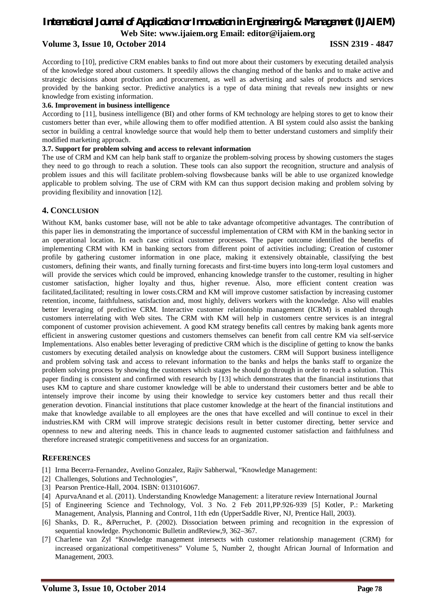### *International Journal of Application or Innovation in Engineering & Management (IJAIEM)* **Web Site: www.ijaiem.org Email: editor@ijaiem.org Volume 3, Issue 10, October 2014 ISSN 2319 - 4847**

According to [10], predictive CRM enables banks to find out more about their customers by executing detailed analysis of the knowledge stored about customers. It speedily allows the changing method of the banks and to make active and strategic decisions about production and procurement, as well as advertising and sales of products and services provided by the banking sector. Predictive analytics is a type of data mining that reveals new insights or new knowledge from existing information.

#### **3.6. Improvement in business intelligence**

According to [11], business intelligence (BI) and other forms of KM technology are helping stores to get to know their customers better than ever, while allowing them to offer modified attention. A BI system could also assist the banking sector in building a central knowledge source that would help them to better understand customers and simplify their modified marketing approach.

#### **3.7. Support for problem solving and access to relevant information**

The use of CRM and KM can help bank staff to organize the problem-solving process by showing customers the stages they need to go through to reach a solution. These tools can also support the recognition, structure and analysis of problem issues and this will facilitate problem-solving flowsbecause banks will be able to use organized knowledge applicable to problem solving. The use of CRM with KM can thus support decision making and problem solving by providing flexibility and innovation [12].

#### **4. CONCLUSION**

Without KM, banks customer base, will not be able to take advantage ofcompetitive advantages. The contribution of this paper lies in demonstrating the importance of successful implementation of CRM with KM in the banking sector in an operational location. In each case critical customer processes. The paper outcome identified the benefits of implementing CRM with KM in banking sectors from different point of activities including; Creation of customer profile by gathering customer information in one place, making it extensively obtainable, classifying the best customers, defining their wants, and finally turning forecasts and first-time buyers into long-term loyal customers and will provide the services which could be improved, enhancing knowledge transfer to the customer, resulting in higher customer satisfaction, higher loyalty and thus, higher revenue. Also, more efficient content creation was facilitated,facilitated; resulting in lower costs.CRM and KM will improve customer satisfaction by increasing customer retention, income, faithfulness, satisfaction and, most highly, delivers workers with the knowledge. Also will enables better leveraging of predictive CRM. Interactive customer relationship management (ICRM) is enabled through customers interrelating with Web sites. The CRM with KM will help in customers centre services is an integral component of customer provision achievement. A good KM strategy benefits call centres by making bank agents more efficient in answering customer questions and customers themselves can benefit from call centre KM via self-service Implementations. Also enables better leveraging of predictive CRM which is the discipline of getting to know the banks customers by executing detailed analysis on knowledge about the customers. CRM will Support business intelligence and problem solving task and access to relevant information to the banks and helps the banks staff to organize the problem solving process by showing the customers which stages he should go through in order to reach a solution. This paper finding is consistent and confirmed with research by [13] which demonstrates that the financial institutions that uses KM to capture and share customer knowledge will be able to understand their customers better and be able to intensely improve their income by using their knowledge to service key customers better and thus recall their generation devotion. Financial institutions that place customer knowledge at the heart of the financial institutions and make that knowledge available to all employees are the ones that have excelled and will continue to excel in their industries.KM with CRM will improve strategic decisions result in better customer directing, better service and openness to new and altering needs. This in chance leads to augmented customer satisfaction and faithfulness and therefore increased strategic competitiveness and success for an organization.

#### **REFERENCES**

- [1] Irma Becerra-Fernandez, Avelino Gonzalez, Rajiv Sabherwal, "Knowledge Management:
- [2] Challenges, Solutions and Technologies",
- [3] Pearson Prentice-Hall, 2004. ISBN: 0131016067.
- [4] ApurvaAnand et al. (2011). Understanding Knowledge Management: a literature review International Journal
- [5] of Engineering Science and Technology, Vol. 3 No. 2 Feb 2011,PP.926-939 [5] Kotler, P.: Marketing Management, Analysis, Planning and Control, 11th edn (UpperSaddle River, NJ, Prentice Hall, 2003).
- [6] Shanks, D. R., &Perruchet, P. (2002). Dissociation between priming and recognition in the expression of sequential knowledge. Psychonomic Bulletin andReview,9, 362–367.
- [7] Charlene van Zyl "Knowledge management intersects with customer relationship management (CRM) for increased organizational competitiveness" Volume 5, Number 2, thought African Journal of Information and Management, 2003.